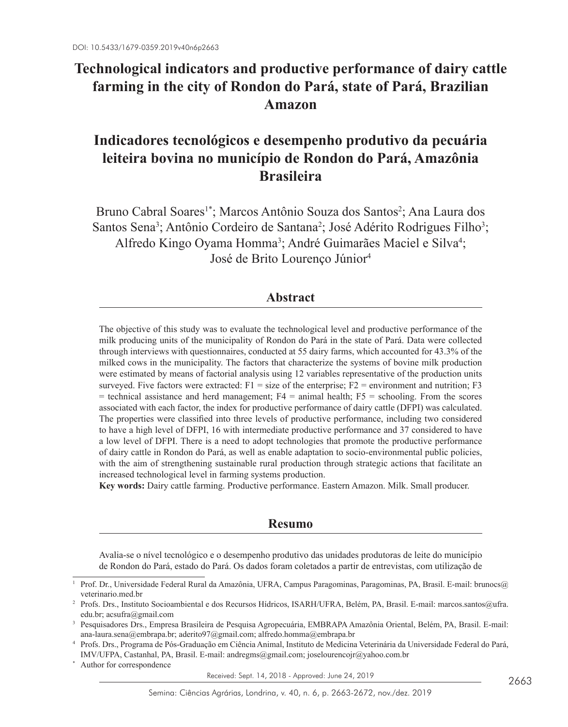# **Technological indicators and productive performance of dairy cattle farming in the city of Rondon do Pará, state of Pará, Brazilian Amazon**

# **Indicadores tecnológicos e desempenho produtivo da pecuária leiteira bovina no município de Rondon do Pará, Amazônia Brasileira**

Bruno Cabral Soares<sup>1\*</sup>; Marcos Antônio Souza dos Santos<sup>2</sup>; Ana Laura dos Santos Sena<sup>3</sup>; Antônio Cordeiro de Santana<sup>2</sup>; José Adérito Rodrigues Filho<sup>3</sup>; Alfredo Kingo Oyama Homma<sup>3</sup>; André Guimarães Maciel e Silva<sup>4</sup>; José de Brito Lourenço Júnior<sup>4</sup>

## **Abstract**

The objective of this study was to evaluate the technological level and productive performance of the milk producing units of the municipality of Rondon do Pará in the state of Pará. Data were collected through interviews with questionnaires, conducted at 55 dairy farms, which accounted for 43.3% of the milked cows in the municipality. The factors that characterize the systems of bovine milk production were estimated by means of factorial analysis using 12 variables representative of the production units surveyed. Five factors were extracted:  $F1 = size$  of the enterprise;  $F2 =$  environment and nutrition; F3  $=$  technical assistance and herd management;  $F4 =$  animal health;  $F5 =$  schooling. From the scores associated with each factor, the index for productive performance of dairy cattle (DFPI) was calculated. The properties were classified into three levels of productive performance, including two considered to have a high level of DFPI, 16 with intermediate productive performance and 37 considered to have a low level of DFPI. There is a need to adopt technologies that promote the productive performance of dairy cattle in Rondon do Pará, as well as enable adaptation to socio-environmental public policies, with the aim of strengthening sustainable rural production through strategic actions that facilitate an increased technological level in farming systems production.

**Key words:** Dairy cattle farming. Productive performance. Eastern Amazon. Milk. Small producer.

## **Resumo**

Avalia-se o nível tecnológico e o desempenho produtivo das unidades produtoras de leite do município de Rondon do Pará, estado do Pará. Os dados foram coletados a partir de entrevistas, com utilização de

Author for correspondence

Received: Sept. 14, 2018 - Approved: June 24, 2019

<sup>&</sup>lt;sup>1</sup> Prof. Dr., Universidade Federal Rural da Amazônia, UFRA, Campus Paragominas, Paragominas, PA, Brasil. E-mail: brunocs@ veterinario.med.br

<sup>2</sup> Profs. Drs., Instituto Socioambiental e dos Recursos Hídricos, ISARH/UFRA, Belém, PA, Brasil. E-mail: marcos.santos@ufra. edu.br; acsufra@gmail.com

<sup>3</sup> Pesquisadores Drs., Empresa Brasileira de Pesquisa Agropecuária, EMBRAPA Amazônia Oriental, Belém, PA, Brasil. E-mail: ana-laura.sena@embrapa.br; aderito97@gmail.com; alfredo.homma@embrapa.br

<sup>4</sup> Profs. Drs., Programa de Pós-Graduação em Ciência Animal, Instituto de Medicina Veterinária da Universidade Federal do Pará, IMV/UFPA, Castanhal, PA, Brasil. E-mail: andregms@gmail.com; joselourencojr@yahoo.com.br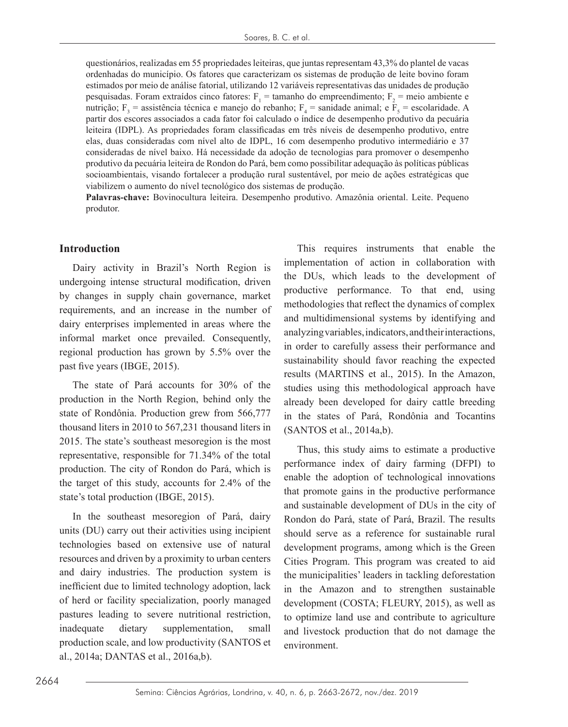questionários, realizadas em 55 propriedades leiteiras, que juntas representam 43,3% do plantel de vacas ordenhadas do município. Os fatores que caracterizam os sistemas de produção de leite bovino foram estimados por meio de análise fatorial, utilizando 12 variáveis representativas das unidades de produção pesquisadas. Foram extraídos cinco fatores:  $F_1$  = tamanho do empreendimento;  $F_2$  = meio ambiente e nutrição;  $F_3$  = assistência técnica e manejo do rebanho;  $F_4$  = sanidade animal; e  $F_5$  = escolaridade. A partir dos escores associados a cada fator foi calculado o índice de desempenho produtivo da pecuária leiteira (IDPL). As propriedades foram classificadas em três níveis de desempenho produtivo, entre elas, duas consideradas com nível alto de IDPL, 16 com desempenho produtivo intermediário e 37 consideradas de nível baixo. Há necessidade da adoção de tecnologias para promover o desempenho produtivo da pecuária leiteira de Rondon do Pará, bem como possibilitar adequação às políticas públicas socioambientais, visando fortalecer a produção rural sustentável, por meio de ações estratégicas que viabilizem o aumento do nível tecnológico dos sistemas de produção.

**Palavras-chave:** Bovinocultura leiteira. Desempenho produtivo. Amazônia oriental. Leite. Pequeno produtor.

#### **Introduction**

Dairy activity in Brazil's North Region is undergoing intense structural modification, driven by changes in supply chain governance, market requirements, and an increase in the number of dairy enterprises implemented in areas where the informal market once prevailed. Consequently, regional production has grown by 5.5% over the past five years (IBGE, 2015).

The state of Pará accounts for 30% of the production in the North Region, behind only the state of Rondônia. Production grew from 566,777 thousand liters in 2010 to 567,231 thousand liters in 2015. The state's southeast mesoregion is the most representative, responsible for 71.34% of the total production. The city of Rondon do Pará, which is the target of this study, accounts for 2.4% of the state's total production (IBGE, 2015).

In the southeast mesoregion of Pará, dairy units (DU) carry out their activities using incipient technologies based on extensive use of natural resources and driven by a proximity to urban centers and dairy industries. The production system is inefficient due to limited technology adoption, lack of herd or facility specialization, poorly managed pastures leading to severe nutritional restriction, inadequate dietary supplementation, small production scale, and low productivity (SANTOS et al., 2014a; DANTAS et al., 2016a,b).

This requires instruments that enable the implementation of action in collaboration with the DUs, which leads to the development of productive performance. To that end, using methodologies that reflect the dynamics of complex and multidimensional systems by identifying and analyzing variables, indicators, and their interactions, in order to carefully assess their performance and sustainability should favor reaching the expected results (MARTINS et al., 2015). In the Amazon, studies using this methodological approach have already been developed for dairy cattle breeding in the states of Pará, Rondônia and Tocantins (SANTOS et al., 2014a,b).

Thus, this study aims to estimate a productive performance index of dairy farming (DFPI) to enable the adoption of technological innovations that promote gains in the productive performance and sustainable development of DUs in the city of Rondon do Pará, state of Pará, Brazil. The results should serve as a reference for sustainable rural development programs, among which is the Green Cities Program. This program was created to aid the municipalities' leaders in tackling deforestation in the Amazon and to strengthen sustainable development (COSTA; FLEURY, 2015), as well as to optimize land use and contribute to agriculture and livestock production that do not damage the environment.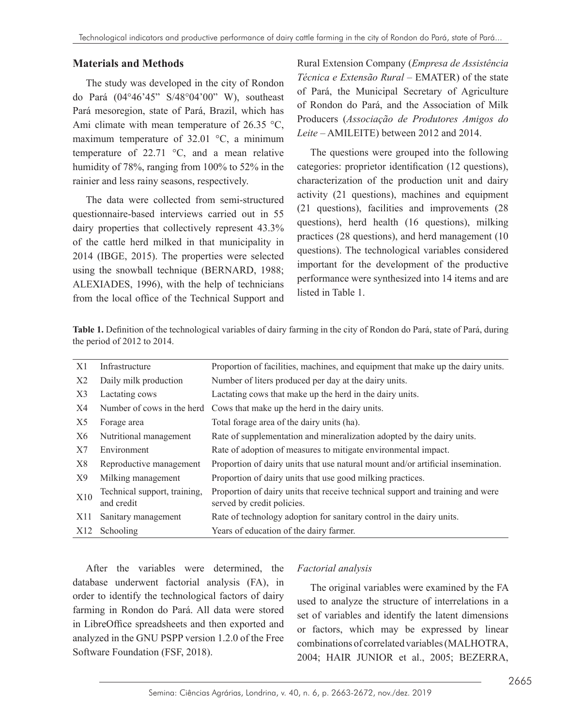## **Materials and Methods**

The study was developed in the city of Rondon do Pará (04°46'45" S/48°04'00" W), southeast Pará mesoregion, state of Pará, Brazil, which has Ami climate with mean temperature of 26.35 °C, maximum temperature of 32.01 °C, a minimum temperature of 22.71 °C, and a mean relative humidity of 78%, ranging from 100% to 52% in the rainier and less rainy seasons, respectively.

The data were collected from semi-structured questionnaire-based interviews carried out in 55 dairy properties that collectively represent 43.3% of the cattle herd milked in that municipality in 2014 (IBGE, 2015). The properties were selected using the snowball technique (BERNARD, 1988; ALEXIADES, 1996), with the help of technicians from the local office of the Technical Support and Rural Extension Company (*Empresa de Assistência Técnica e Extensão Rural* – EMATER) of the state of Pará, the Municipal Secretary of Agriculture of Rondon do Pará, and the Association of Milk Producers (*Associação de Produtores Amigos do Leite* – AMILEITE) between 2012 and 2014.

The questions were grouped into the following categories: proprietor identification (12 questions), characterization of the production unit and dairy activity (21 questions), machines and equipment (21 questions), facilities and improvements (28 questions), herd health (16 questions), milking practices (28 questions), and herd management (10 questions). The technological variables considered important for the development of the productive performance were synthesized into 14 items and are listed in Table 1.

| Table 1. Definition of the technological variables of dairy farming in the city of Rondon do Pará, state of Pará, during |  |
|--------------------------------------------------------------------------------------------------------------------------|--|
| the period of 2012 to 2014.                                                                                              |  |

| X1              | Infrastructure                             | Proportion of facilities, machines, and equipment that make up the dairy units.                              |
|-----------------|--------------------------------------------|--------------------------------------------------------------------------------------------------------------|
| X2              | Daily milk production                      | Number of liters produced per day at the dairy units.                                                        |
| X3              | Lactating cows                             | Lactating cows that make up the herd in the dairy units.                                                     |
| X4              | Number of cows in the herd                 | Cows that make up the herd in the dairy units.                                                               |
| X5              | Forage area                                | Total forage area of the dairy units (ha).                                                                   |
| X6              | Nutritional management                     | Rate of supplementation and mineralization adopted by the dairy units.                                       |
| X7              | Environment                                | Rate of adoption of measures to mitigate environmental impact.                                               |
| X8              | Reproductive management                    | Proportion of dairy units that use natural mount and/or artificial insemination.                             |
| X9              | Milking management                         | Proportion of dairy units that use good milking practices.                                                   |
| X10             | Technical support, training,<br>and credit | Proportion of dairy units that receive technical support and training and were<br>served by credit policies. |
| X11             | Sanitary management                        | Rate of technology adoption for sanitary control in the dairy units.                                         |
| X <sub>12</sub> | Schooling                                  | Years of education of the dairy farmer.                                                                      |

After the variables were determined, the database underwent factorial analysis (FA), in order to identify the technological factors of dairy farming in Rondon do Pará. All data were stored in LibreOffice spreadsheets and then exported and analyzed in the GNU PSPP version 1.2.0 of the Free Software Foundation (FSF, 2018).

#### *Factorial analysis*

The original variables were examined by the FA used to analyze the structure of interrelations in a set of variables and identify the latent dimensions or factors, which may be expressed by linear combinations of correlated variables (MALHOTRA, 2004; HAIR JUNIOR et al., 2005; BEZERRA,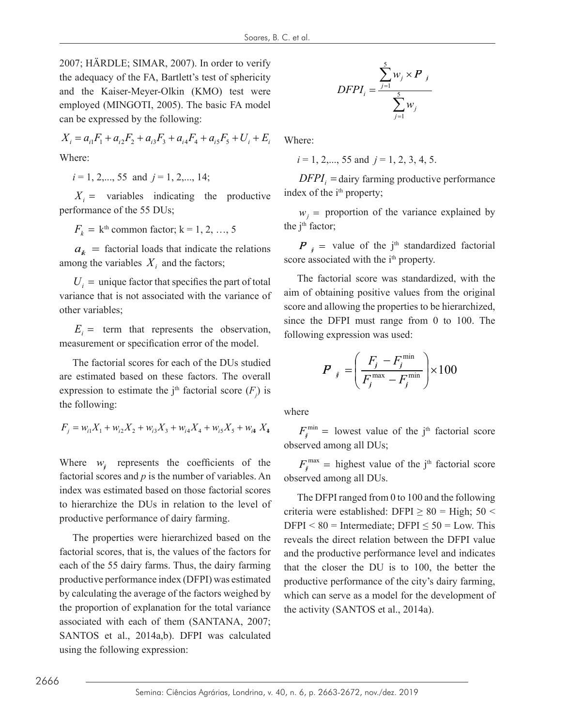2007; HÄRDLE; SIMAR, 2007). In order to verify the adequacy of the FA, Bartlett's test of sphericity and the Kaiser-Meyer-Olkin (KMO) test were employed (MINGOTI, 2005). The basic FA model can be expressed by the following:

$$
X_i = a_{i1}F_1 + a_{i2}F_2 + a_{i3}F_3 + a_{i4}F_4 + a_{i5}F_5 + U_i + E_i
$$

Where:

 $i = 1, 2, \dots, 55$  and  $j = 1, 2, \dots, 14$ ;

 $X_i$  = variables indicating the productive performance of the 55 DUs;

 $F_k = k^{th}$  common factor;  $k = 1, 2, ..., 5$ 

 $a_{ik}$  = factorial loads that indicate the relations among the variables  $X_i$  and the factors;

 $U_i$  = unique factor that specifies the part of total variance that is not associated with the variance of other variables;

 $E_i$  = term that represents the observation, measurement or specification error of the model.

The factorial scores for each of the DUs studied are estimated based on these factors. The overall expression to estimate the j<sup>th</sup> factorial score  $(F_j)$  is the following:

$$
F_j = w_{i1}X_1 + w_{i2}X_2 + w_{i3}X_3 + w_{i4}X_4 + w_{i5}X_5 + w_{i4}X_4
$$

Where  $w_i$  represents the coefficients of the factorial scores and *p* is the number of variables. An index was estimated based on those factorial scores to hierarchize the DUs in relation to the level of productive performance of dairy farming.

The properties were hierarchized based on the factorial scores, that is, the values of the factors for each of the 55 dairy farms. Thus, the dairy farming productive performance index (DFPI) was estimated by calculating the average of the factors weighed by the proportion of explanation for the total variance associated with each of them (SANTANA, 2007; SANTOS et al., 2014a,b). DFPI was calculated using the following expression:

$$
DFPI_i = \frac{\sum_{j=1}^{5} w_j \times P_j}{\sum_{j=1}^{5} w_j}
$$

Where:

*i* = 1, 2,..., 55 and *j* = 1, 2, 3, 4, 5.

 $DFPI_i =$ dairy farming productive performance index of the i<sup>th</sup> property;

 $w_i$  = proportion of the variance explained by the j<sup>th</sup> factor;

 $\boldsymbol{F}_{i}$  = value of the j<sup>th</sup> standardized factorial score associated with the i<sup>th</sup> property.

The factorial score was standardized, with the aim of obtaining positive values from the original score and allowing the properties to be hierarchized, since the DFPI must range from 0 to 100. The following expression was used:

$$
P_{j} = \left(\frac{F_{j} - F_{j}^{\min}}{F_{j}^{\max} - F_{j}^{\min}}\right) \times 100
$$

where

 $F_i^{\text{min}} =$  lowest value of the j<sup>th</sup> factorial score observed among all DUs;

 $F_i^{\text{max}}$  = highest value of the j<sup>th</sup> factorial score observed among all DUs.

The DFPI ranged from 0 to 100 and the following criteria were established: DFPI  $\geq 80$  = High; 50 <  $DFPI < 80$  = Intermediate;  $DFPI \le 50$  = Low. This reveals the direct relation between the DFPI value and the productive performance level and indicates that the closer the DU is to 100, the better the productive performance of the city's dairy farming, which can serve as a model for the development of the activity (SANTOS et al., 2014a).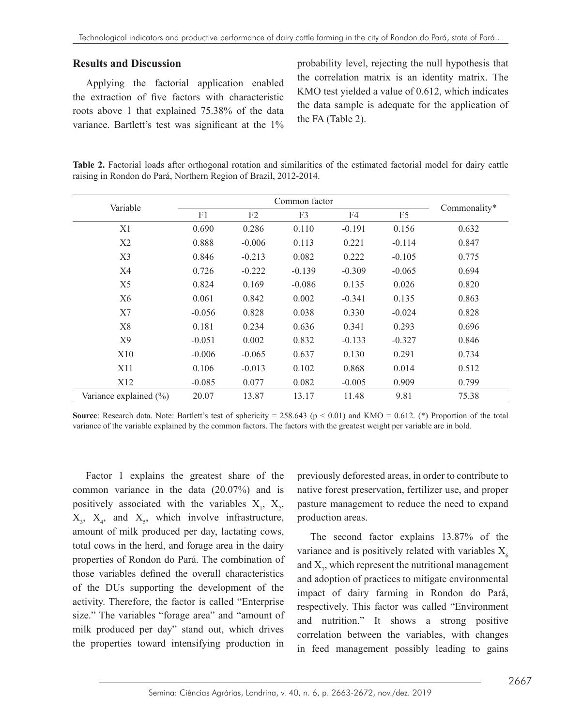#### **Results and Discussion**

Applying the factorial application enabled the extraction of five factors with characteristic roots above 1 that explained 75.38% of the data variance. Bartlett's test was significant at the 1% probability level, rejecting the null hypothesis that the correlation matrix is an identity matrix. The KMO test yielded a value of 0.612, which indicates the data sample is adequate for the application of the FA (Table 2).

**Table 2.** Factorial loads after orthogonal rotation and similarities of the estimated factorial model for dairy cattle raising in Rondon do Pará, Northern Region of Brazil, 2012-2014.

|                        | Common factor |          |          |          |                |              |
|------------------------|---------------|----------|----------|----------|----------------|--------------|
| Variable               | F1            | F2       | F3       | F4       | F <sub>5</sub> | Commonality* |
| X1                     | 0.690         | 0.286    | 0.110    | $-0.191$ | 0.156          | 0.632        |
| X2                     | 0.888         | $-0.006$ | 0.113    | 0.221    | $-0.114$       | 0.847        |
| X3                     | 0.846         | $-0.213$ | 0.082    | 0.222    | $-0.105$       | 0.775        |
| X4                     | 0.726         | $-0.222$ | $-0.139$ | $-0.309$ | $-0.065$       | 0.694        |
| X5                     | 0.824         | 0.169    | $-0.086$ | 0.135    | 0.026          | 0.820        |
| X6                     | 0.061         | 0.842    | 0.002    | $-0.341$ | 0.135          | 0.863        |
| X7                     | $-0.056$      | 0.828    | 0.038    | 0.330    | $-0.024$       | 0.828        |
| X8                     | 0.181         | 0.234    | 0.636    | 0.341    | 0.293          | 0.696        |
| X9                     | $-0.051$      | 0.002    | 0.832    | $-0.133$ | $-0.327$       | 0.846        |
| X10                    | $-0.006$      | $-0.065$ | 0.637    | 0.130    | 0.291          | 0.734        |
| X11                    | 0.106         | $-0.013$ | 0.102    | 0.868    | 0.014          | 0.512        |
| X12                    | $-0.085$      | 0.077    | 0.082    | $-0.005$ | 0.909          | 0.799        |
| Variance explained (%) | 20.07         | 13.87    | 13.17    | 11.48    | 9.81           | 75.38        |

**Source**: Research data. Note: Bartlett's test of sphericity =  $258.643$  (p <  $0.01$ ) and KMO =  $0.612$ . (\*) Proportion of the total variance of the variable explained by the common factors. The factors with the greatest weight per variable are in bold.

Factor 1 explains the greatest share of the common variance in the data (20.07%) and is positively associated with the variables  $X_1$ ,  $X_2$ ,  $X_3$ ,  $X_4$ , and  $X_5$ , which involve infrastructure, amount of milk produced per day, lactating cows, total cows in the herd, and forage area in the dairy properties of Rondon do Pará. The combination of those variables defined the overall characteristics of the DUs supporting the development of the activity. Therefore, the factor is called "Enterprise size." The variables "forage area" and "amount of milk produced per day" stand out, which drives the properties toward intensifying production in

previously deforested areas, in order to contribute to native forest preservation, fertilizer use, and proper pasture management to reduce the need to expand production areas.

The second factor explains 13.87% of the variance and is positively related with variables  $X<sub>c</sub>$ and  $X_{\gamma}$ , which represent the nutritional management and adoption of practices to mitigate environmental impact of dairy farming in Rondon do Pará, respectively. This factor was called "Environment and nutrition." It shows a strong positive correlation between the variables, with changes in feed management possibly leading to gains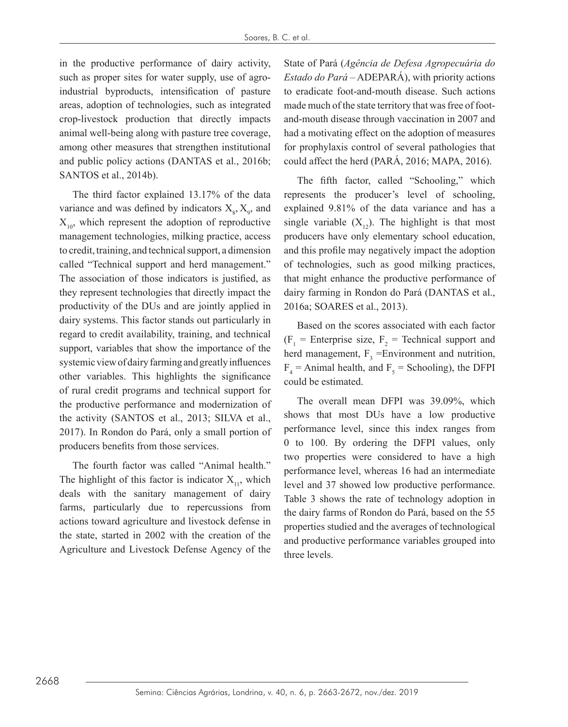in the productive performance of dairy activity, such as proper sites for water supply, use of agroindustrial byproducts, intensification of pasture areas, adoption of technologies, such as integrated crop-livestock production that directly impacts animal well-being along with pasture tree coverage, among other measures that strengthen institutional and public policy actions (DANTAS et al., 2016b; SANTOS et al., 2014b).

The third factor explained 13.17% of the data variance and was defined by indicators  $X_s$ ,  $X_s$ , and  $X_{10}$ , which represent the adoption of reproductive management technologies, milking practice, access to credit, training, and technical support, a dimension called "Technical support and herd management." The association of those indicators is justified, as they represent technologies that directly impact the productivity of the DUs and are jointly applied in dairy systems. This factor stands out particularly in regard to credit availability, training, and technical support, variables that show the importance of the systemic view of dairy farming and greatly influences other variables. This highlights the significance of rural credit programs and technical support for the productive performance and modernization of the activity (SANTOS et al., 2013; SILVA et al., 2017). In Rondon do Pará, only a small portion of producers benefits from those services.

The fourth factor was called "Animal health." The highlight of this factor is indicator  $X_{11}$ , which deals with the sanitary management of dairy farms, particularly due to repercussions from actions toward agriculture and livestock defense in the state, started in 2002 with the creation of the Agriculture and Livestock Defense Agency of the State of Pará (*Agência de Defesa Agropecuária do Estado do Pará* – ADEPARÁ), with priority actions to eradicate foot-and-mouth disease. Such actions made much of the state territory that was free of footand-mouth disease through vaccination in 2007 and had a motivating effect on the adoption of measures for prophylaxis control of several pathologies that could affect the herd (PARÁ, 2016; MAPA, 2016).

The fifth factor, called "Schooling," which represents the producer's level of schooling, explained 9.81% of the data variance and has a single variable  $(X_1, Y_2)$ . The highlight is that most producers have only elementary school education, and this profile may negatively impact the adoption of technologies, such as good milking practices, that might enhance the productive performance of dairy farming in Rondon do Pará (DANTAS et al., 2016a; SOARES et al., 2013).

Based on the scores associated with each factor  $(F_1$  = Enterprise size,  $F_2$  = Technical support and herd management,  $F_3$  =Environment and nutrition,  $F_4$  = Animal health, and  $F_5$  = Schooling), the DFPI could be estimated.

The overall mean DFPI was 39.09%, which shows that most DUs have a low productive performance level, since this index ranges from 0 to 100. By ordering the DFPI values, only two properties were considered to have a high performance level, whereas 16 had an intermediate level and 37 showed low productive performance. Table 3 shows the rate of technology adoption in the dairy farms of Rondon do Pará, based on the 55 properties studied and the averages of technological and productive performance variables grouped into three levels.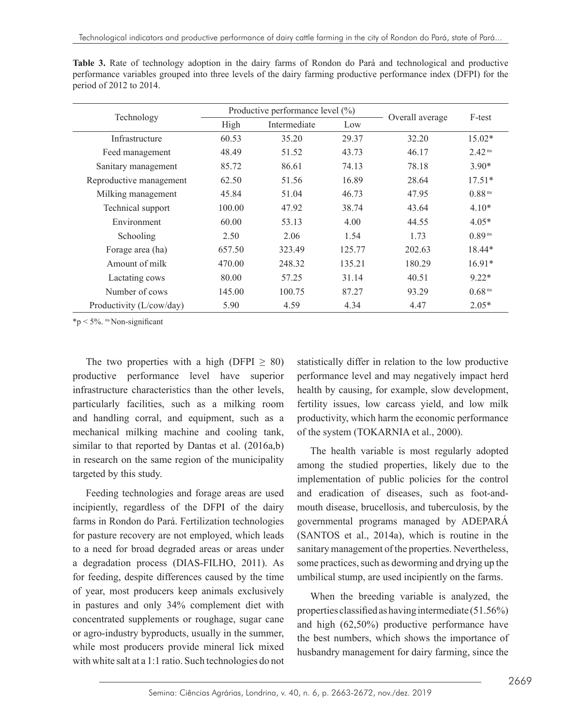|                          | Productive performance level $(\% )$ |              |        |                 |                      |
|--------------------------|--------------------------------------|--------------|--------|-----------------|----------------------|
| Technology               | High                                 | Intermediate | Low    | Overall average | F-test               |
| Infrastructure           | 60.53                                | 35.20        | 29.37  | 32.20           | $15.02*$             |
| Feed management          | 48.49                                | 51.52        | 43.73  | 46.17           | 2.42 <sup>ns</sup>   |
| Sanitary management      | 85.72                                | 86.61        | 74.13  | 78.18           | $3.90*$              |
| Reproductive management  | 62.50                                | 51.56        | 16.89  | 28.64           | $17.51*$             |
| Milking management       | 45.84                                | 51.04        | 46.73  | 47.95           | $0.88$ <sup>ns</sup> |
| Technical support        | 100.00                               | 47.92        | 38.74  | 43.64           | $4.10*$              |
| Environment              | 60.00                                | 53.13        | 4.00   | 44.55           | $4.05*$              |
| Schooling                | 2.50                                 | 2.06         | 1.54   | 1.73            | 0.89 <sup>ns</sup>   |
| Forage area (ha)         | 657.50                               | 323.49       | 125.77 | 202.63          | 18.44*               |
| Amount of milk           | 470.00                               | 248.32       | 135.21 | 180.29          | $16.91*$             |
| Lactating cows           | 80.00                                | 57.25        | 31.14  | 40.51           | $9.22*$              |
| Number of cows           | 145.00                               | 100.75       | 87.27  | 93.29           | 0.68 <sup>ns</sup>   |
| Productivity (L/cow/day) | 5.90                                 | 4.59         | 4.34   | 4.47            | $2.05*$              |

**Table 3.** Rate of technology adoption in the dairy farms of Rondon do Pará and technological and productive performance variables grouped into three levels of the dairy farming productive performance index (DFPI) for the period of 2012 to 2014.

 $*p < 5\%$ . ns Non-significant

The two properties with a high (DFPI  $\geq 80$ ) productive performance level have superior infrastructure characteristics than the other levels, particularly facilities, such as a milking room and handling corral, and equipment, such as a mechanical milking machine and cooling tank, similar to that reported by Dantas et al. (2016a,b) in research on the same region of the municipality targeted by this study.

Feeding technologies and forage areas are used incipiently, regardless of the DFPI of the dairy farms in Rondon do Pará. Fertilization technologies for pasture recovery are not employed, which leads to a need for broad degraded areas or areas under a degradation process (DIAS-FILHO, 2011). As for feeding, despite differences caused by the time of year, most producers keep animals exclusively in pastures and only 34% complement diet with concentrated supplements or roughage, sugar cane or agro-industry byproducts, usually in the summer, while most producers provide mineral lick mixed with white salt at a 1:1 ratio. Such technologies do not statistically differ in relation to the low productive performance level and may negatively impact herd health by causing, for example, slow development, fertility issues, low carcass yield, and low milk productivity, which harm the economic performance of the system (TOKARNIA et al., 2000).

The health variable is most regularly adopted among the studied properties, likely due to the implementation of public policies for the control and eradication of diseases, such as foot-andmouth disease, brucellosis, and tuberculosis, by the governmental programs managed by ADEPARÁ (SANTOS et al., 2014a), which is routine in the sanitary management of the properties. Nevertheless, some practices, such as deworming and drying up the umbilical stump, are used incipiently on the farms.

When the breeding variable is analyzed, the properties classified as having intermediate (51.56%) and high (62,50%) productive performance have the best numbers, which shows the importance of husbandry management for dairy farming, since the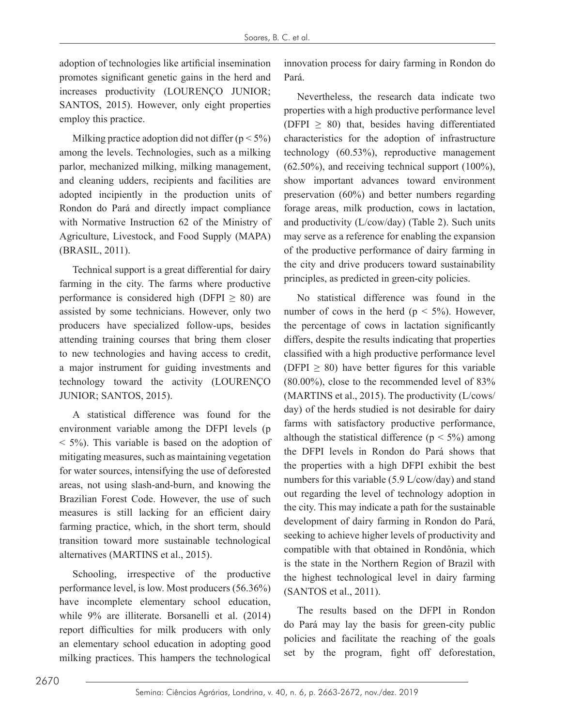adoption of technologies like artificial insemination promotes significant genetic gains in the herd and increases productivity (LOURENCO JUNIOR; SANTOS, 2015). However, only eight properties employ this practice.

Milking practice adoption did not differ  $(p < 5\%)$ among the levels. Technologies, such as a milking parlor, mechanized milking, milking management, and cleaning udders, recipients and facilities are adopted incipiently in the production units of Rondon do Pará and directly impact compliance with Normative Instruction 62 of the Ministry of Agriculture, Livestock, and Food Supply (MAPA) (BRASIL, 2011).

Technical support is a great differential for dairy farming in the city. The farms where productive performance is considered high (DFPI  $\geq$  80) are assisted by some technicians. However, only two producers have specialized follow-ups, besides attending training courses that bring them closer to new technologies and having access to credit, a major instrument for guiding investments and technology toward the activity (LOURENÇO JUNIOR; SANTOS, 2015).

A statistical difference was found for the environment variable among the DFPI levels (p  $<$  5%). This variable is based on the adoption of mitigating measures, such as maintaining vegetation for water sources, intensifying the use of deforested areas, not using slash-and-burn, and knowing the Brazilian Forest Code. However, the use of such measures is still lacking for an efficient dairy farming practice, which, in the short term, should transition toward more sustainable technological alternatives (MARTINS et al., 2015).

Schooling, irrespective of the productive performance level, is low. Most producers (56.36%) have incomplete elementary school education, while 9% are illiterate. Borsanelli et al. (2014) report difficulties for milk producers with only an elementary school education in adopting good milking practices. This hampers the technological

innovation process for dairy farming in Rondon do Pará.

Nevertheless, the research data indicate two properties with a high productive performance level (DFPI  $\geq$  80) that, besides having differentiated characteristics for the adoption of infrastructure technology (60.53%), reproductive management  $(62.50\%)$ , and receiving technical support  $(100\%)$ , show important advances toward environment preservation (60%) and better numbers regarding forage areas, milk production, cows in lactation, and productivity (L/cow/day) (Table 2). Such units may serve as a reference for enabling the expansion of the productive performance of dairy farming in the city and drive producers toward sustainability principles, as predicted in green-city policies.

No statistical difference was found in the number of cows in the herd ( $p < 5\%$ ). However, the percentage of cows in lactation significantly differs, despite the results indicating that properties classified with a high productive performance level (DFPI  $\geq$  80) have better figures for this variable  $(80.00\%)$ , close to the recommended level of  $83\%$ (MARTINS et al., 2015). The productivity (L/cows/ day) of the herds studied is not desirable for dairy farms with satisfactory productive performance, although the statistical difference ( $p < 5\%$ ) among the DFPI levels in Rondon do Pará shows that the properties with a high DFPI exhibit the best numbers for this variable (5.9 L/cow/day) and stand out regarding the level of technology adoption in the city. This may indicate a path for the sustainable development of dairy farming in Rondon do Pará, seeking to achieve higher levels of productivity and compatible with that obtained in Rondônia, which is the state in the Northern Region of Brazil with the highest technological level in dairy farming (SANTOS et al., 2011).

The results based on the DFPI in Rondon do Pará may lay the basis for green-city public policies and facilitate the reaching of the goals set by the program, fight off deforestation,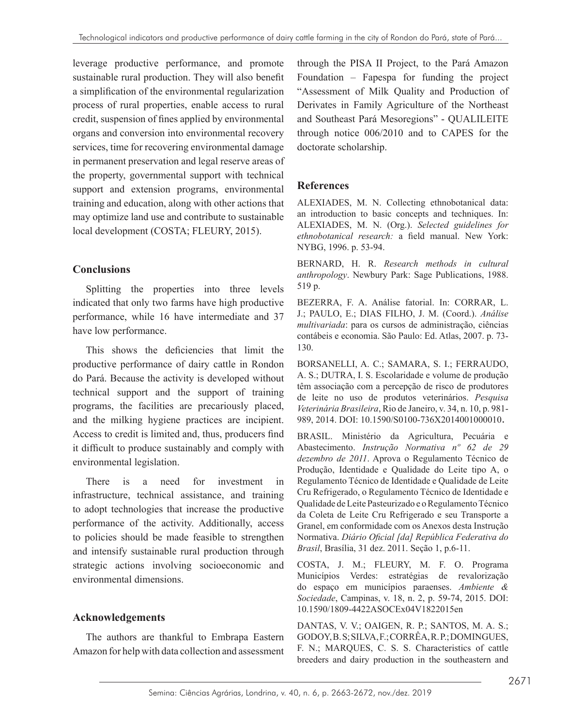leverage productive performance, and promote sustainable rural production. They will also benefit a simplification of the environmental regularization process of rural properties, enable access to rural credit, suspension of fines applied by environmental organs and conversion into environmental recovery services, time for recovering environmental damage in permanent preservation and legal reserve areas of the property, governmental support with technical support and extension programs, environmental training and education, along with other actions that may optimize land use and contribute to sustainable local development (COSTA; FLEURY, 2015).

## **Conclusions**

Splitting the properties into three levels indicated that only two farms have high productive performance, while 16 have intermediate and 37 have low performance.

This shows the deficiencies that limit the productive performance of dairy cattle in Rondon do Pará. Because the activity is developed without technical support and the support of training programs, the facilities are precariously placed, and the milking hygiene practices are incipient. Access to credit is limited and, thus, producers find it difficult to produce sustainably and comply with environmental legislation.

There is a need for investment in infrastructure, technical assistance, and training to adopt technologies that increase the productive performance of the activity. Additionally, access to policies should be made feasible to strengthen and intensify sustainable rural production through strategic actions involving socioeconomic and environmental dimensions.

### **Acknowledgements**

The authors are thankful to Embrapa Eastern Amazon for help with data collection and assessment through the PISA II Project, to the Pará Amazon Foundation – Fapespa for funding the project "Assessment of Milk Quality and Production of Derivates in Family Agriculture of the Northeast and Southeast Pará Mesoregions" - QUALILEITE through notice 006/2010 and to CAPES for the doctorate scholarship.

### **References**

ALEXIADES, M. N. Collecting ethnobotanical data: an introduction to basic concepts and techniques. In: ALEXIADES, M. N. (Org.). *Selected guidelines for ethnobotanical research:* a field manual. New York: NYBG, 1996. p. 53-94.

BERNARD, H. R. *Research methods in cultural anthropology*. Newbury Park: Sage Publications, 1988. 519 p.

BEZERRA, F. A. Análise fatorial. In: CORRAR, L. J.; PAULO, E.; DIAS FILHO, J. M. (Coord.). *Análise multivariada*: para os cursos de administração, ciências contábeis e economia. São Paulo: Ed. Atlas, 2007. p. 73- 130.

BORSANELLI, A. C.; SAMARA, S. I.; FERRAUDO, A. S.; DUTRA, I. S. Escolaridade e volume de produção têm associação com a percepção de risco de produtores de leite no uso de produtos veterinários. *Pesquisa Veterinária Brasileira*, Rio de Janeiro, v. 34, n. 10, p. 981- 989, 2014. DOI: 10.1590/S0100-736X2014001000010.

BRASIL. Ministério da Agricultura, Pecuária e Abastecimento. *Instrução Normativa nº 62 de 29 dezembro de 2011*. Aprova o Regulamento Técnico de Produção, Identidade e Qualidade do Leite tipo A, o Regulamento Técnico de Identidade e Qualidade de Leite Cru Refrigerado, o Regulamento Técnico de Identidade e Qualidade de Leite Pasteurizado e o Regulamento Técnico da Coleta de Leite Cru Refrigerado e seu Transporte a Granel, em conformidade com os Anexos desta Instrução Normativa. *Diário Oficial [da] República Federativa do Brasil*, Brasília, 31 dez. 2011. Seção 1, p.6-11.

COSTA, J. M.; FLEURY, M. F. O. Programa Municípios Verdes: estratégias de revalorização do espaço em municípios paraenses. *Ambiente & Sociedade*, Campinas, v. 18, n. 2, p. 59-74, 2015. DOI: 10.1590/1809-4422ASOCEx04V1822015en

DANTAS, V. V.; OAIGEN, R. P.; SANTOS, M. A. S.; GODOY, B. S; SILVA, F.; CORRÊA, R. P.; DOMINGUES, F. N.; MARQUES, C. S. S. Characteristics of cattle breeders and dairy production in the southeastern and